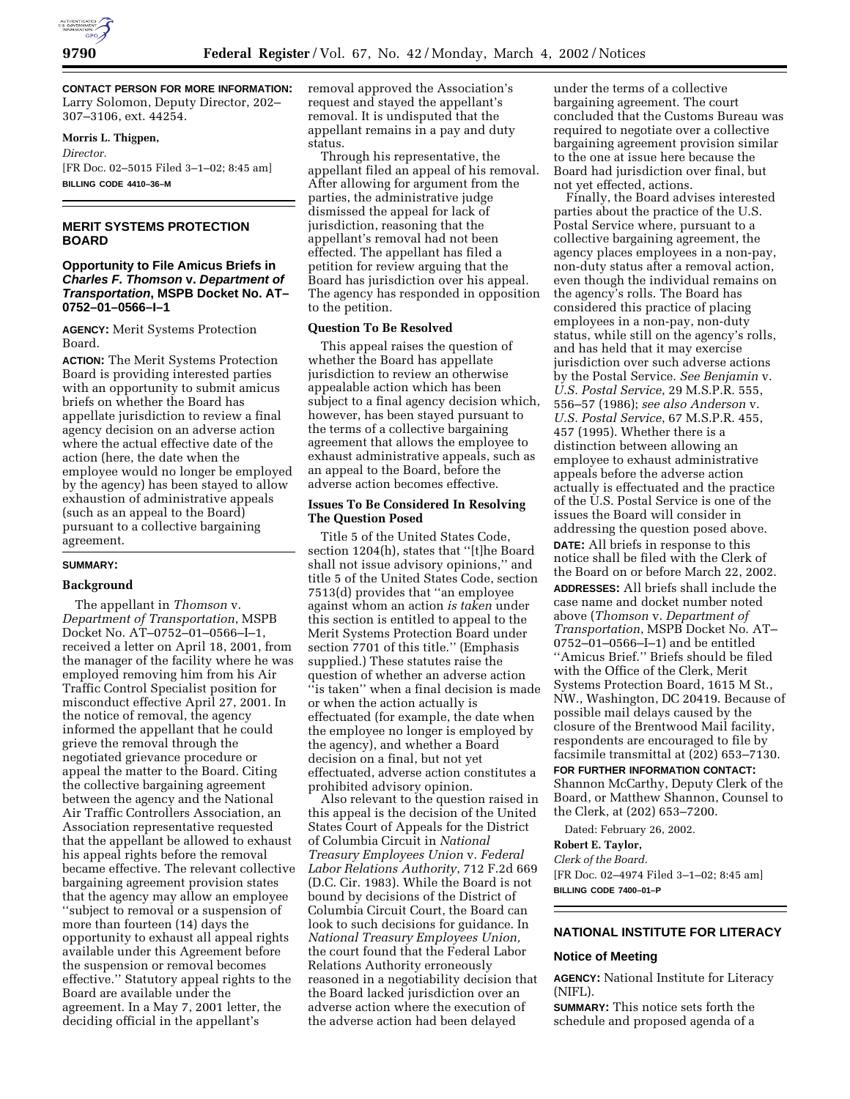

**CONTACT PERSON FOR MORE INFORMATION:** Larry Solomon, Deputy Director, 202– 307–3106, ext. 44254.

**Morris L. Thigpen,** *Director.* [FR Doc. 02–5015 Filed 3–1–02; 8:45 am] **BILLING CODE 4410–36–M**

# **MERIT SYSTEMS PROTECTION BOARD**

# **Opportunity to File Amicus Briefs in Charles F. Thomson v. Department of Transportation, MSPB Docket No. AT– 0752–01–0566–I–1**

**AGENCY:** Merit Systems Protection Board.

**ACTION:** The Merit Systems Protection Board is providing interested parties with an opportunity to submit amicus briefs on whether the Board has appellate jurisdiction to review a final agency decision on an adverse action where the actual effective date of the action (here, the date when the employee would no longer be employed by the agency) has been stayed to allow exhaustion of administrative appeals (such as an appeal to the Board) pursuant to a collective bargaining agreement.

## **SUMMARY:**

## **Background**

The appellant in *Thomson* v. *Department of Transportation*, MSPB Docket No. AT–0752–01–0566–I–1, received a letter on April 18, 2001, from the manager of the facility where he was employed removing him from his Air Traffic Control Specialist position for misconduct effective April 27, 2001. In the notice of removal, the agency informed the appellant that he could grieve the removal through the negotiated grievance procedure or appeal the matter to the Board. Citing the collective bargaining agreement between the agency and the National Air Traffic Controllers Association, an Association representative requested that the appellant be allowed to exhaust his appeal rights before the removal became effective. The relevant collective bargaining agreement provision states that the agency may allow an employee ''subject to removal or a suspension of more than fourteen (14) days the opportunity to exhaust all appeal rights available under this Agreement before the suspension or removal becomes effective.'' Statutory appeal rights to the Board are available under the agreement. In a May 7, 2001 letter, the deciding official in the appellant's

removal approved the Association's request and stayed the appellant's removal. It is undisputed that the appellant remains in a pay and duty status.

Through his representative, the appellant filed an appeal of his removal. After allowing for argument from the parties, the administrative judge dismissed the appeal for lack of jurisdiction, reasoning that the appellant's removal had not been effected. The appellant has filed a petition for review arguing that the Board has jurisdiction over his appeal. The agency has responded in opposition to the petition.

### **Question To Be Resolved**

This appeal raises the question of whether the Board has appellate jurisdiction to review an otherwise appealable action which has been subject to a final agency decision which, however, has been stayed pursuant to the terms of a collective bargaining agreement that allows the employee to exhaust administrative appeals, such as an appeal to the Board, before the adverse action becomes effective.

## **Issues To Be Considered In Resolving The Question Posed**

Title 5 of the United States Code, section 1204(h), states that ''[t]he Board shall not issue advisory opinions,'' and title 5 of the United States Code, section 7513(d) provides that ''an employee against whom an action *is taken* under this section is entitled to appeal to the Merit Systems Protection Board under section 7701 of this title.'' (Emphasis supplied.) These statutes raise the question of whether an adverse action 'is taken'' when a final decision is made or when the action actually is effectuated (for example, the date when the employee no longer is employed by the agency), and whether a Board decision on a final, but not yet effectuated, adverse action constitutes a prohibited advisory opinion.

Also relevant to the question raised in this appeal is the decision of the United States Court of Appeals for the District of Columbia Circuit in *National Treasury Employees Union* v. *Federal Labor Relations Authority*, 712 F.2d 669 (D.C. Cir. 1983). While the Board is not bound by decisions of the District of Columbia Circuit Court, the Board can look to such decisions for guidance. In *National Treasury Employees Union,* the court found that the Federal Labor Relations Authority erroneously reasoned in a negotiability decision that the Board lacked jurisdiction over an adverse action where the execution of the adverse action had been delayed

under the terms of a collective bargaining agreement. The court concluded that the Customs Bureau was required to negotiate over a collective bargaining agreement provision similar to the one at issue here because the Board had jurisdiction over final, but not yet effected, actions.

Finally, the Board advises interested parties about the practice of the U.S. Postal Service where, pursuant to a collective bargaining agreement, the agency places employees in a non-pay, non-duty status after a removal action, even though the individual remains on the agency's rolls. The Board has considered this practice of placing employees in a non-pay, non-duty status, while still on the agency's rolls, and has held that it may exercise jurisdiction over such adverse actions by the Postal Service. *See Benjamin* v. *U.S. Postal Service*, 29 M.S.P.R. 555, 556–57 (1986); *see also Anderson* v. *U.S. Postal Service*, 67 M.S.P.R. 455, 457 (1995). Whether there is a distinction between allowing an employee to exhaust administrative appeals before the adverse action actually is effectuated and the practice of the U.S. Postal Service is one of the issues the Board will consider in addressing the question posed above. **DATE:** All briefs in response to this notice shall be filed with the Clerk of the Board on or before March 22, 2002. **ADDRESSES:** All briefs shall include the case name and docket number noted above (*Thomson* v. *Department of Transportation*, MSPB Docket No. AT– 0752–01–0566–I–1) and be entitled ''Amicus Brief.'' Briefs should be filed with the Office of the Clerk, Merit Systems Protection Board, 1615 M St., NW., Washington, DC 20419. Because of possible mail delays caused by the closure of the Brentwood Mail facility, respondents are encouraged to file by facsimile transmittal at (202) 653–7130.

**FOR FURTHER INFORMATION CONTACT:** Shannon McCarthy, Deputy Clerk of the Board, or Matthew Shannon, Counsel to the Clerk, at (202) 653–7200.

Dated: February 26, 2002.

# **Robert E. Taylor,**

*Clerk of the Board.* [FR Doc. 02–4974 Filed 3–1–02; 8:45 am] **BILLING CODE 7400–01–P**

# **NATIONAL INSTITUTE FOR LITERACY**

#### **Notice of Meeting**

**AGENCY:** National Institute for Literacy (NIFL).

**SUMMARY:** This notice sets forth the schedule and proposed agenda of a